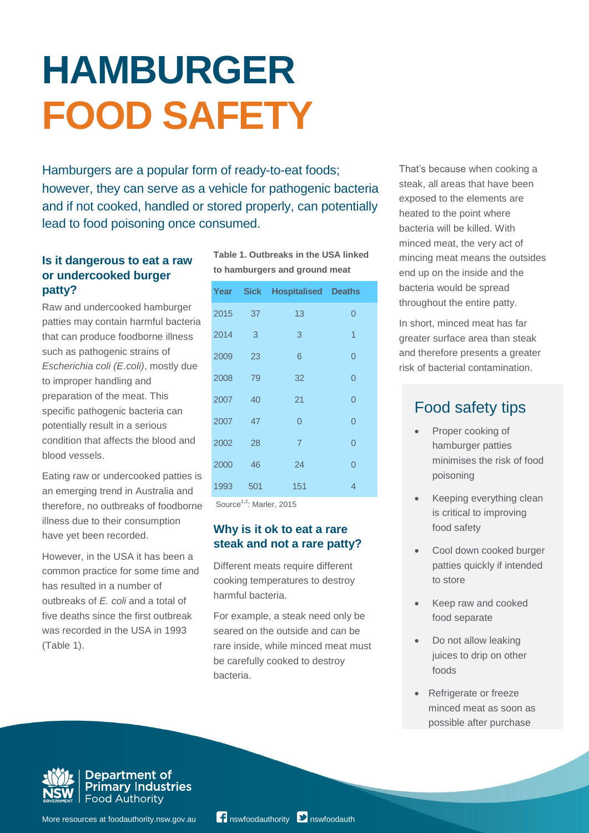# **HAMBURGER FOOD SAFETY**

Hamburgers are a popular form of ready-to-eat foods; however, they can serve as a vehicle for pathogenic bacteria and if not cooked, handled or stored properly, can potentially lead to food poisoning once consumed.

# **Is it dangerous to eat a raw or undercooked burger patty?**

Raw and undercooked hamburger patties may contain harmful bacteria that can produce foodborne illness such as pathogenic strains of *Escherichia coli (E.coli)*, mostly due to improper handling and preparation of the meat. This specific pathogenic bacteria can potentially result in a serious condition that affects the blood and blood vessels.

Eating raw or undercooked patties is an emerging trend in Australia and therefore, no outbreaks of foodborne illness due to their consumption have yet been recorded.

However, in the USA it has been a common practice for some time and has resulted in a number of outbreaks of *E. coli* and a total of five deaths since the first outbreak was recorded in the USA in 1993 (Table 1).

**Table 1. Outbreaks in the USA linked to hamburgers and ground meat**

|      |     | <b>Year Sick Hospitalised Deaths</b> |                |
|------|-----|--------------------------------------|----------------|
| 2015 | 37  | 13                                   | $\Omega$       |
| 2014 | 3   | 3                                    | $\overline{1}$ |
| 2009 | 23  | 6                                    | $\Omega$       |
| 2008 | 79  | 32                                   | $\Omega$       |
| 2007 | 40  | 21                                   | $\Omega$       |
| 2007 | 47  | $\Omega$                             | 0              |
| 2002 | 28  | $\overline{7}$                       | $\Omega$       |
| 2000 | 46  | 24                                   | $\Omega$       |
| 1993 | 501 | 151                                  | 4              |

Source<sup>1,2</sup>: Marler, 2015

# **Why is it ok to eat a rare steak and not a rare patty?**

Different meats require different cooking temperatures to destroy harmful bacteria.

For example, a steak need only be seared on the outside and can be rare inside, while minced meat must be carefully cooked to destroy bacteria.

That's because when cooking a steak, all areas that have been exposed to the elements are heated to the point where bacteria will be killed. With minced meat, the very act of mincing meat means the outsides end up on the inside and the bacteria would be spread throughout the entire patty.

In short, minced meat has far greater surface area than steak and therefore presents a greater risk of bacterial contamination.

# Food safety tips

- Proper cooking of hamburger patties minimises the risk of food poisoning
- Keeping everything clean is critical to improving food safety
- Cool down cooked burger patties quickly if intended to store
- Keep raw and cooked food separate
- Do not allow leaking juices to drip on other foods
- Refrigerate or freeze minced meat as soon as possible after purchase



Department of **Primary Industries Food Authority**